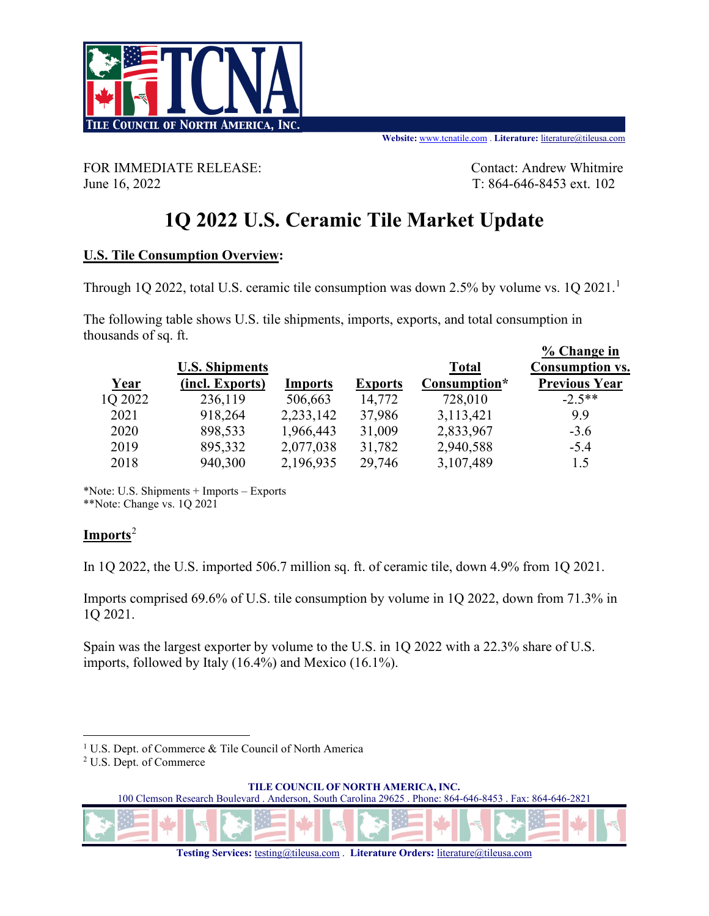

FOR IMMEDIATE RELEASE: Contact: Andrew Whitmire June 16, 2022 T: 864-646-8453 ext. 102

# **1Q 2022 U.S. Ceramic Tile Market Update**

#### **U.S. Tile Consumption Overview:**

Through [1](#page-0-0)Q 2022, total U.S. ceramic tile consumption was down 2.5% by volume vs. 1Q 2021.<sup>1</sup>

The following table shows U.S. tile shipments, imports, exports, and total consumption in thousands of sq. ft.

|         |                       |                |                |              | % Change in            |
|---------|-----------------------|----------------|----------------|--------------|------------------------|
|         | <b>U.S. Shipments</b> |                |                | <b>Total</b> | <b>Consumption vs.</b> |
| Year    | (incl. Exports)       | <b>Imports</b> | <b>Exports</b> | Consumption* | <b>Previous Year</b>   |
| 1Q 2022 | 236,119               | 506,663        | 14,772         | 728,010      | $-2.5**$               |
| 2021    | 918,264               | 2,233,142      | 37,986         | 3,113,421    | 9.9                    |
| 2020    | 898,533               | 1,966,443      | 31,009         | 2,833,967    | $-3.6$                 |
| 2019    | 895,332               | 2,077,038      | 31,782         | 2,940,588    | $-5.4$                 |
| 2018    | 940,300               | 2,196,935      | 29,746         | 3,107,489    | 1.5                    |

\*Note: U.S. Shipments + Imports – Exports \*\*Note: Change vs. 1Q 2021

#### **Imports**[2](#page-0-1)

In 1Q 2022, the U.S. imported 506.7 million sq. ft. of ceramic tile, down 4.9% from 1Q 2021.

Imports comprised 69.6% of U.S. tile consumption by volume in 1Q 2022, down from 71.3% in 1Q 2021.

Spain was the largest exporter by volume to the U.S. in 1Q 2022 with a 22.3% share of U.S. imports, followed by Italy (16.4%) and Mexico (16.1%).

**TILE COUNCIL OF NORTH AMERICA, INC.**

100 Clemson Research Boulevard . Anderson, South Carolina 29625 . Phone: 864-646-8453 . Fax: 864-646-2821

<span id="page-0-0"></span><sup>&</sup>lt;sup>1</sup> U.S. Dept. of Commerce & Tile Council of North America

<span id="page-0-1"></span><sup>2</sup> U.S. Dept. of Commerce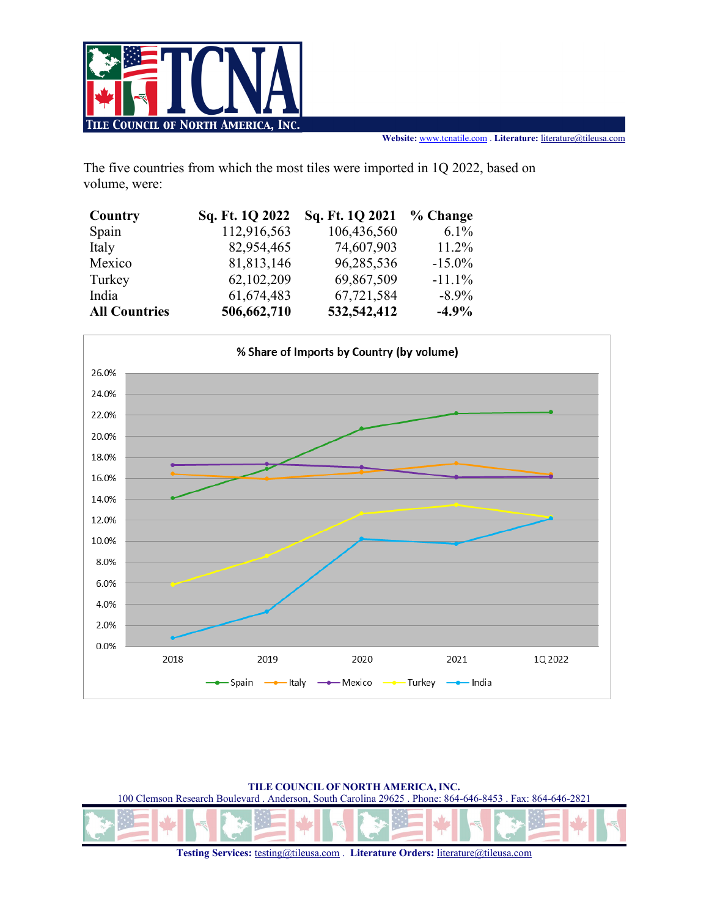

The five countries from which the most tiles were imported in 1Q 2022, based on volume, were:

| Country              | Sq. Ft. 1Q 2022 | Sq. Ft. 1Q 2021 | % Change  |
|----------------------|-----------------|-----------------|-----------|
| Spain                | 112,916,563     | 106,436,560     | $6.1\%$   |
| Italy                | 82,954,465      | 74,607,903      | $11.2\%$  |
| Mexico               | 81,813,146      | 96,285,536      | $-15.0\%$ |
| Turkey               | 62,102,209      | 69,867,509      | $-11.1%$  |
| India                | 61,674,483      | 67,721,584      | $-8.9\%$  |
| <b>All Countries</b> | 506,662,710     | 532,542,412     | $-4.9%$   |



**TILE COUNCIL OF NORTH AMERICA, INC.**

100 Clemson Research Boulevard . Anderson, South Carolina 29625 . Phone: 864-646-8453 . Fax: 864-646-2821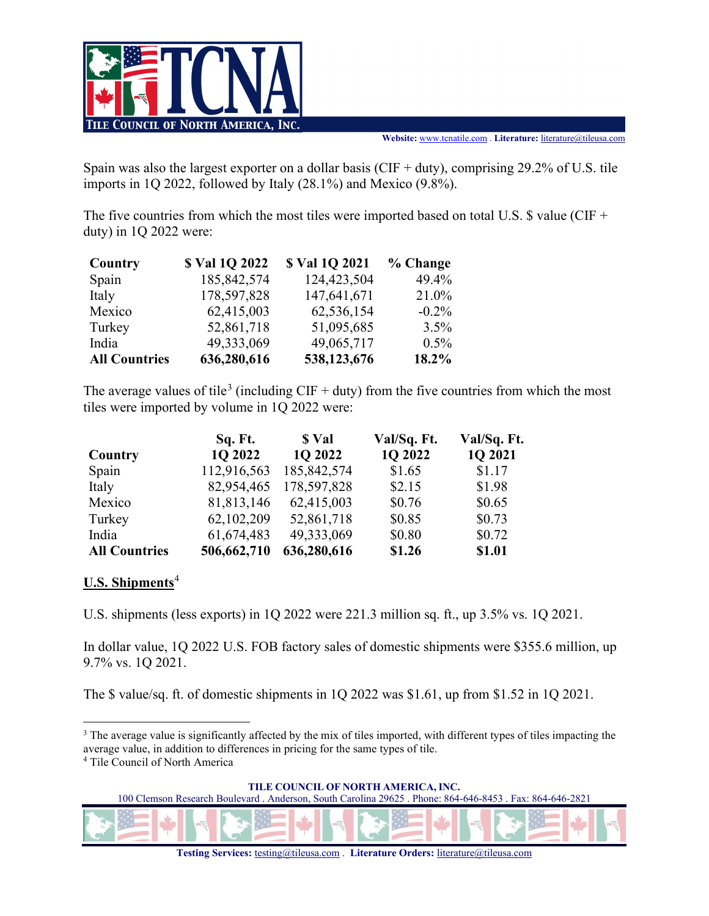

Spain was also the largest exporter on a dollar basis (CIF + duty), comprising 29.2% of U.S. tile imports in 1Q 2022, followed by Italy (28.1%) and Mexico (9.8%).

The five countries from which the most tiles were imported based on total U.S.  $\sqrt{s}$  value (CIF + duty) in 1Q 2022 were:

| Country              | \$ Val 10 2022 | \$ Val 10 2021 | % Change |
|----------------------|----------------|----------------|----------|
| Spain                | 185, 842, 574  | 124,423,504    | 49.4%    |
| Italy                | 178,597,828    | 147,641,671    | 21.0%    |
| Mexico               | 62,415,003     | 62,536,154     | $-0.2\%$ |
| Turkey               | 52,861,718     | 51,095,685     | 3.5%     |
| India                | 49,333,069     | 49,065,717     | $0.5\%$  |
| <b>All Countries</b> | 636,280,616    | 538,123,676    | 18.2%    |

The average values of tile<sup>[3](#page-2-0)</sup> (including CIF + duty) from the five countries from which the most tiles were imported by volume in 1Q 2022 were:

|                      | Sq. Ft.     | \$ Val        | Val/Sq. Ft. | Val/Sq. Ft. |
|----------------------|-------------|---------------|-------------|-------------|
| Country              | 1Q 2022     | 1Q 2022       | 1Q 2022     | 1Q 2021     |
| Spain                | 112,916,563 | 185, 842, 574 | \$1.65      | \$1.17      |
| Italy                | 82,954,465  | 178,597,828   | \$2.15      | \$1.98      |
| Mexico               | 81,813,146  | 62,415,003    | \$0.76      | \$0.65      |
| Turkey               | 62,102,209  | 52,861,718    | \$0.85      | \$0.73      |
| India                | 61,674,483  | 49,333,069    | \$0.80      | \$0.72      |
| <b>All Countries</b> | 506,662,710 | 636,280,616   | \$1.26      | \$1.01      |

#### **U.S. Shipments**[4](#page-2-1)

U.S. shipments (less exports) in 1Q 2022 were 221.3 million sq. ft., up 3.5% vs. 1Q 2021.

In dollar value, 1Q 2022 U.S. FOB factory sales of domestic shipments were \$355.6 million, up 9.7% vs. 1Q 2021.

The \$ value/sq. ft. of domestic shipments in 1Q 2022 was \$1.61, up from \$1.52 in 1Q 2021.

**TILE COUNCIL OF NORTH AMERICA, INC.**

100 Clemson Research Boulevard . Anderson, South Carolina 29625 . Phone: 864-646-8453 . Fax: 864-646-2821

<span id="page-2-0"></span><sup>&</sup>lt;sup>3</sup> The average value is significantly affected by the mix of tiles imported, with different types of tiles impacting the average value, in addition to differences in pricing for the same types of tile.

<span id="page-2-1"></span><sup>4</sup> Tile Council of North America